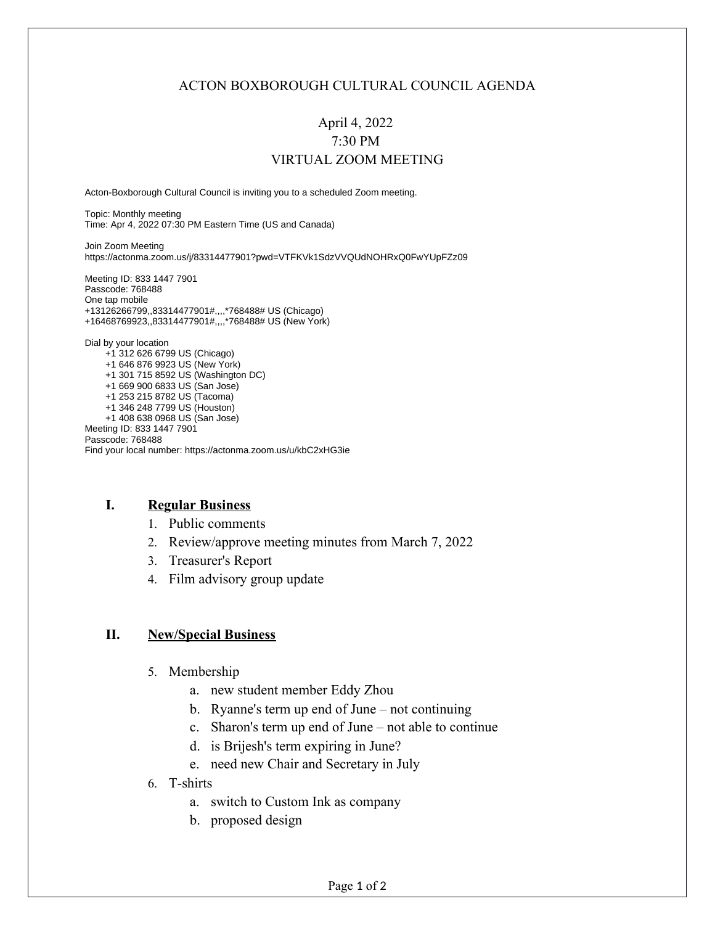### ACTON BOXBOROUGH CULTURAL COUNCIL AGENDA

# April 4, 2022 7:30 PM VIRTUAL ZOOM MEETING

Acton-Boxborough Cultural Council is inviting you to a scheduled Zoom meeting.

Topic: Monthly meeting Time: Apr 4, 2022 07:30 PM Eastern Time (US and Canada)

Join Zoom Meeting https://actonma.zoom.us/j/83314477901?pwd=VTFKVk1SdzVVQUdNOHRxQ0FwYUpFZz09

Meeting ID: 833 1447 7901 Passcode: 768488 One tap mobile +13126266799,,83314477901#,,,,\*768488# US (Chicago) +16468769923,,83314477901#,,,,\*768488# US (New York)

Dial by your location

 +1 312 626 6799 US (Chicago) +1 646 876 9923 US (New York) +1 301 715 8592 US (Washington DC) +1 669 900 6833 US (San Jose) +1 253 215 8782 US (Tacoma) +1 346 248 7799 US (Houston) +1 408 638 0968 US (San Jose) Meeting ID: 833 1447 7901 Passcode: 768488 Find your local number: https://actonma.zoom.us/u/kbC2xHG3ie

#### **I. Regular Business**

- 1. Public comments
- 2. Review/approve meeting minutes from March 7, 2022
- 3. Treasurer's Report
- 4. Film advisory group update

#### **II. New/Special Business**

- 5. Membership
	- a. new student member Eddy Zhou
	- b. Ryanne's term up end of June not continuing
	- c. Sharon's term up end of June not able to continue
	- d. is Brijesh's term expiring in June?
	- e. need new Chair and Secretary in July
- 6. T-shirts
	- a. switch to Custom Ink as company
	- b. proposed design